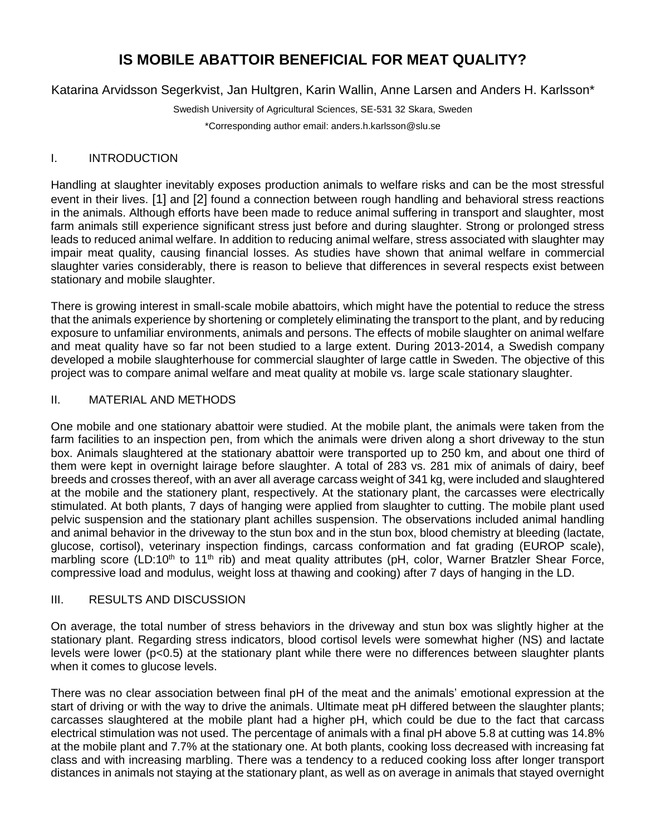# **IS MOBILE ABATTOIR BENEFICIAL FOR MEAT QUALITY?**

Katarina Arvidsson Segerkvist, Jan Hultgren, Karin Wallin, Anne Larsen and Anders H. Karlsson\*

Swedish University of Agricultural Sciences, SE-531 32 Skara, Sweden \*Corresponding author email: anders.h.karlsson@slu.se

## I. INTRODUCTION

Handling at slaughter inevitably exposes production animals to welfare risks and can be the most stressful event in their lives. [1] and [2] found a connection between rough handling and behavioral stress reactions in the animals. Although efforts have been made to reduce animal suffering in transport and slaughter, most farm animals still experience significant stress just before and during slaughter. Strong or prolonged stress leads to reduced animal welfare. In addition to reducing animal welfare, stress associated with slaughter may impair meat quality, causing financial losses. As studies have shown that animal welfare in commercial slaughter varies considerably, there is reason to believe that differences in several respects exist between stationary and mobile slaughter.

There is growing interest in small-scale mobile abattoirs, which might have the potential to reduce the stress that the animals experience by shortening or completely eliminating the transport to the plant, and by reducing exposure to unfamiliar environments, animals and persons. The effects of mobile slaughter on animal welfare and meat quality have so far not been studied to a large extent. During 2013-2014, a Swedish company developed a mobile slaughterhouse for commercial slaughter of large cattle in Sweden. The objective of this project was to compare animal welfare and meat quality at mobile vs. large scale stationary slaughter.

## II. MATERIAL AND METHODS

One mobile and one stationary abattoir were studied. At the mobile plant, the animals were taken from the farm facilities to an inspection pen, from which the animals were driven along a short driveway to the stun box. Animals slaughtered at the stationary abattoir were transported up to 250 km, and about one third of them were kept in overnight lairage before slaughter. A total of 283 vs. 281 mix of animals of dairy, beef breeds and crosses thereof, with an aver all average carcass weight of 341 kg, were included and slaughtered at the mobile and the stationery plant, respectively. At the stationary plant, the carcasses were electrically stimulated. At both plants, 7 days of hanging were applied from slaughter to cutting. The mobile plant used pelvic suspension and the stationary plant achilles suspension. The observations included animal handling and animal behavior in the driveway to the stun box and in the stun box, blood chemistry at bleeding (lactate, glucose, cortisol), veterinary inspection findings, carcass conformation and fat grading (EUROP scale), marbling score (LD:10<sup>th</sup> to 11<sup>th</sup> rib) and meat quality attributes (pH, color, Warner Bratzler Shear Force, compressive load and modulus, weight loss at thawing and cooking) after 7 days of hanging in the LD.

## III. RESULTS AND DISCUSSION

On average, the total number of stress behaviors in the driveway and stun box was slightly higher at the stationary plant. Regarding stress indicators, blood cortisol levels were somewhat higher (NS) and lactate levels were lower (p<0.5) at the stationary plant while there were no differences between slaughter plants when it comes to glucose levels.

There was no clear association between final pH of the meat and the animals' emotional expression at the start of driving or with the way to drive the animals. Ultimate meat pH differed between the slaughter plants; carcasses slaughtered at the mobile plant had a higher pH, which could be due to the fact that carcass electrical stimulation was not used. The percentage of animals with a final pH above 5.8 at cutting was 14.8% at the mobile plant and 7.7% at the stationary one. At both plants, cooking loss decreased with increasing fat class and with increasing marbling. There was a tendency to a reduced cooking loss after longer transport distances in animals not staying at the stationary plant, as well as on average in animals that stayed overnight